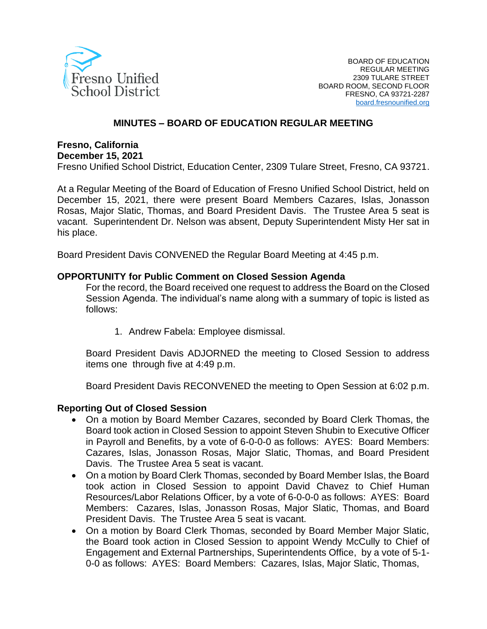

#### **MINUTES – BOARD OF EDUCATION REGULAR MEETING**

# **Fresno, California**

**December 15, 2021**

Fresno Unified School District, Education Center, 2309 Tulare Street, Fresno, CA 93721.

At a Regular Meeting of the Board of Education of Fresno Unified School District, held on December 15, 2021, there were present Board Members Cazares, Islas, Jonasson Rosas, Major Slatic, Thomas, and Board President Davis. The Trustee Area 5 seat is vacant. Superintendent Dr. Nelson was absent, Deputy Superintendent Misty Her sat in his place.

Board President Davis CONVENED the Regular Board Meeting at 4:45 p.m.

#### **OPPORTUNITY for Public Comment on Closed Session Agenda**

For the record, the Board received one request to address the Board on the Closed Session Agenda. The individual's name along with a summary of topic is listed as follows:

1. Andrew Fabela: Employee dismissal.

Board President Davis ADJORNED the meeting to Closed Session to address items one through five at 4:49 p.m.

Board President Davis RECONVENED the meeting to Open Session at 6:02 p.m.

#### **Reporting Out of Closed Session**

- On a motion by Board Member Cazares, seconded by Board Clerk Thomas, the Board took action in Closed Session to appoint Steven Shubin to Executive Officer in Payroll and Benefits, by a vote of 6-0-0-0 as follows: AYES: Board Members: Cazares, Islas, Jonasson Rosas, Major Slatic, Thomas, and Board President Davis. The Trustee Area 5 seat is vacant.
- On a motion by Board Clerk Thomas, seconded by Board Member Islas, the Board took action in Closed Session to appoint David Chavez to Chief Human Resources/Labor Relations Officer, by a vote of 6-0-0-0 as follows: AYES: Board Members: Cazares, Islas, Jonasson Rosas, Major Slatic, Thomas, and Board President Davis. The Trustee Area 5 seat is vacant.
- On a motion by Board Clerk Thomas, seconded by Board Member Major Slatic, the Board took action in Closed Session to appoint Wendy McCully to Chief of Engagement and External Partnerships, Superintendents Office, by a vote of 5-1- 0-0 as follows: AYES: Board Members: Cazares, Islas, Major Slatic, Thomas,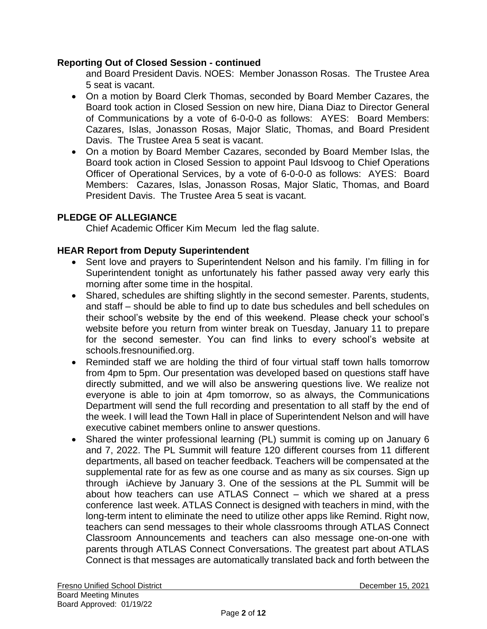#### **Reporting Out of Closed Session - continued**

and Board President Davis. NOES: Member Jonasson Rosas. The Trustee Area 5 seat is vacant.

- On a motion by Board Clerk Thomas, seconded by Board Member Cazares, the Board took action in Closed Session on new hire, Diana Diaz to Director General of Communications by a vote of 6-0-0-0 as follows: AYES: Board Members: Cazares, Islas, Jonasson Rosas, Major Slatic, Thomas, and Board President Davis. The Trustee Area 5 seat is vacant.
- On a motion by Board Member Cazares, seconded by Board Member Islas, the Board took action in Closed Session to appoint Paul Idsvoog to Chief Operations Officer of Operational Services, by a vote of 6-0-0-0 as follows: AYES: Board Members: Cazares, Islas, Jonasson Rosas, Major Slatic, Thomas, and Board President Davis. The Trustee Area 5 seat is vacant.

## **PLEDGE OF ALLEGIANCE**

Chief Academic Officer Kim Mecum led the flag salute.

## **HEAR Report from Deputy Superintendent**

- Sent love and prayers to Superintendent Nelson and his family. I'm filling in for Superintendent tonight as unfortunately his father passed away very early this morning after some time in the hospital.
- Shared, schedules are shifting slightly in the second semester. Parents, students, and staff – should be able to find up to date bus schedules and bell schedules on their school's website by the end of this weekend. Please check your school's website before you return from winter break on Tuesday, January 11 to prepare for the second semester. You can find links to every school's website at schools.fresnounified.org.
- Reminded staff we are holding the third of four virtual staff town halls tomorrow from 4pm to 5pm. Our presentation was developed based on questions staff have directly submitted, and we will also be answering questions live. We realize not everyone is able to join at 4pm tomorrow, so as always, the Communications Department will send the full recording and presentation to all staff by the end of the week. I will lead the Town Hall in place of Superintendent Nelson and will have executive cabinet members online to answer questions.
- Shared the winter professional learning (PL) summit is coming up on January 6 and 7, 2022. The PL Summit will feature 120 different courses from 11 different departments, all based on teacher feedback. Teachers will be compensated at the supplemental rate for as few as one course and as many as six courses. Sign up through iAchieve by January 3. One of the sessions at the PL Summit will be about how teachers can use ATLAS Connect – which we shared at a press conference last week. ATLAS Connect is designed with teachers in mind, with the long-term intent to eliminate the need to utilize other apps like Remind. Right now, teachers can send messages to their whole classrooms through ATLAS Connect Classroom Announcements and teachers can also message one-on-one with parents through ATLAS Connect Conversations. The greatest part about ATLAS Connect is that messages are automatically translated back and forth between the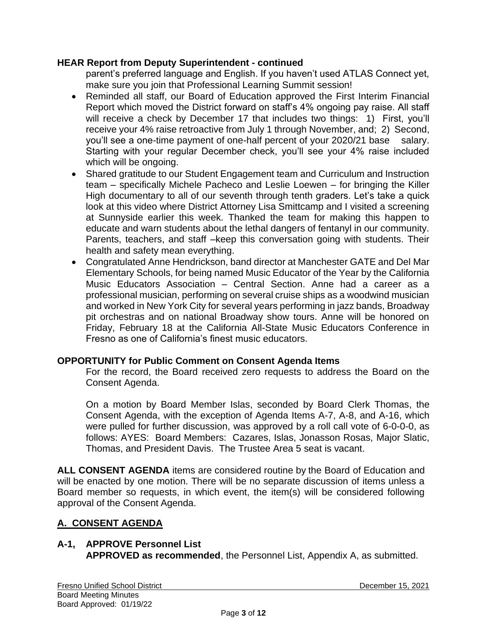#### **HEAR Report from Deputy Superintendent - continued**

parent's preferred language and English. If you haven't used ATLAS Connect yet, make sure you join that Professional Learning Summit session!

- Reminded all staff, our Board of Education approved the First Interim Financial Report which moved the District forward on staff's 4% ongoing pay raise. All staff will receive a check by December 17 that includes two things: 1) First, you'll receive your 4% raise retroactive from July 1 through November, and; 2) Second, you'll see a one-time payment of one-half percent of your 2020/21 base salary. Starting with your regular December check, you'll see your 4% raise included which will be ongoing.
- Shared gratitude to our Student Engagement team and Curriculum and Instruction team – specifically Michele Pacheco and Leslie Loewen – for bringing the Killer High documentary to all of our seventh through tenth graders. Let's take a quick look at this video where District Attorney Lisa Smittcamp and I visited a screening at Sunnyside earlier this week. Thanked the team for making this happen to educate and warn students about the lethal dangers of fentanyl in our community. Parents, teachers, and staff –keep this conversation going with students. Their health and safety mean everything.
- Congratulated Anne Hendrickson, band director at Manchester GATE and Del Mar Elementary Schools, for being named Music Educator of the Year by the California Music Educators Association – Central Section. Anne had a career as a professional musician, performing on several cruise ships as a woodwind musician and worked in New York City for several years performing in jazz bands, Broadway pit orchestras and on national Broadway show tours. Anne will be honored on Friday, February 18 at the California All-State Music Educators Conference in Fresno as one of California's finest music educators.

## **OPPORTUNITY for Public Comment on Consent Agenda Items**

For the record, the Board received zero requests to address the Board on the Consent Agenda.

On a motion by Board Member Islas, seconded by Board Clerk Thomas, the Consent Agenda, with the exception of Agenda Items A-7, A-8, and A-16, which were pulled for further discussion, was approved by a roll call vote of 6-0-0-0, as follows: AYES: Board Members: Cazares, Islas, Jonasson Rosas, Major Slatic, Thomas, and President Davis. The Trustee Area 5 seat is vacant.

**ALL CONSENT AGENDA** items are considered routine by the Board of Education and will be enacted by one motion. There will be no separate discussion of items unless a Board member so requests, in which event, the item(s) will be considered following approval of the Consent Agenda.

# **A. CONSENT AGENDA**

# **A-1, APPROVE Personnel List**

**APPROVED as recommended**, the Personnel List, Appendix A, as submitted.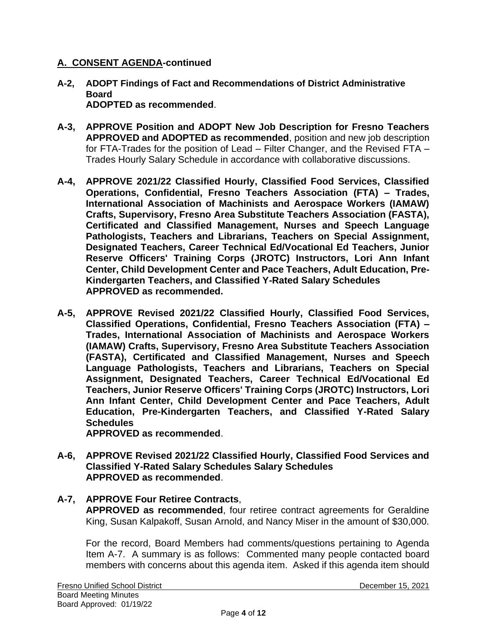- **A-2, ADOPT Findings of Fact and Recommendations of District Administrative Board ADOPTED as recommended**.
- **A-3, APPROVE Position and ADOPT New Job Description for Fresno Teachers APPROVED and ADOPTED as recommended**, position and new job description for FTA-Trades for the position of Lead – Filter Changer, and the Revised FTA – Trades Hourly Salary Schedule in accordance with collaborative discussions.
- **A-4, APPROVE 2021/22 Classified Hourly, Classified Food Services, Classified Operations, Confidential, Fresno Teachers Association (FTA) – Trades, International Association of Machinists and Aerospace Workers (IAMAW) Crafts, Supervisory, Fresno Area Substitute Teachers Association (FASTA), Certificated and Classified Management, Nurses and Speech Language Pathologists, Teachers and Librarians, Teachers on Special Assignment, Designated Teachers, Career Technical Ed/Vocational Ed Teachers, Junior Reserve Officers' Training Corps (JROTC) Instructors, Lori Ann Infant Center, Child Development Center and Pace Teachers, Adult Education, Pre-Kindergarten Teachers, and Classified Y-Rated Salary Schedules APPROVED as recommended.**
- **A-5, APPROVE Revised 2021/22 Classified Hourly, Classified Food Services, Classified Operations, Confidential, Fresno Teachers Association (FTA) – Trades, International Association of Machinists and Aerospace Workers (IAMAW) Crafts, Supervisory, Fresno Area Substitute Teachers Association (FASTA), Certificated and Classified Management, Nurses and Speech Language Pathologists, Teachers and Librarians, Teachers on Special Assignment, Designated Teachers, Career Technical Ed/Vocational Ed Teachers, Junior Reserve Officers' Training Corps (JROTC) Instructors, Lori Ann Infant Center, Child Development Center and Pace Teachers, Adult Education, Pre-Kindergarten Teachers, and Classified Y-Rated Salary Schedules**

**APPROVED as recommended**.

**A-6, APPROVE Revised 2021/22 Classified Hourly, Classified Food Services and Classified Y-Rated Salary Schedules Salary Schedules APPROVED as recommended**.

#### **A-7, APPROVE Four Retiree Contracts**,

**APPROVED as recommended**, four retiree contract agreements for Geraldine King, Susan Kalpakoff, Susan Arnold, and Nancy Miser in the amount of \$30,000.

For the record, Board Members had comments/questions pertaining to Agenda Item A-7. A summary is as follows: Commented many people contacted board members with concerns about this agenda item. Asked if this agenda item should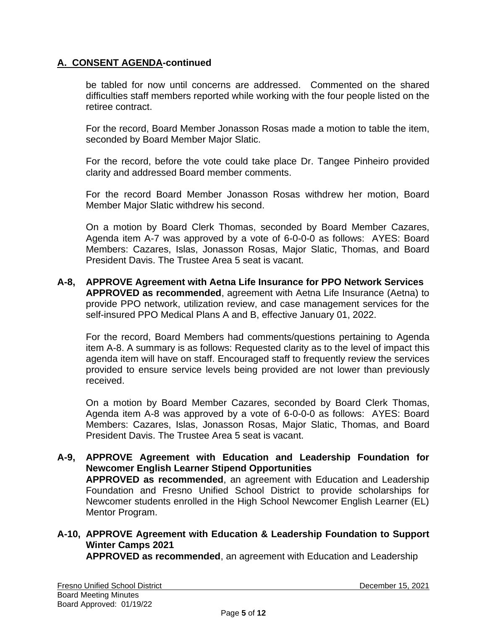be tabled for now until concerns are addressed. Commented on the shared difficulties staff members reported while working with the four people listed on the retiree contract.

For the record, Board Member Jonasson Rosas made a motion to table the item, seconded by Board Member Major Slatic.

For the record, before the vote could take place Dr. Tangee Pinheiro provided clarity and addressed Board member comments.

For the record Board Member Jonasson Rosas withdrew her motion, Board Member Major Slatic withdrew his second.

On a motion by Board Clerk Thomas, seconded by Board Member Cazares, Agenda item A-7 was approved by a vote of 6-0-0-0 as follows: AYES: Board Members: Cazares, Islas, Jonasson Rosas, Major Slatic, Thomas, and Board President Davis. The Trustee Area 5 seat is vacant.

**A-8, APPROVE Agreement with Aetna Life Insurance for PPO Network Services APPROVED as recommended**, agreement with Aetna Life Insurance (Aetna) to provide PPO network, utilization review, and case management services for the self-insured PPO Medical Plans A and B, effective January 01, 2022.

For the record, Board Members had comments/questions pertaining to Agenda item A-8. A summary is as follows: Requested clarity as to the level of impact this agenda item will have on staff. Encouraged staff to frequently review the services provided to ensure service levels being provided are not lower than previously received.

On a motion by Board Member Cazares, seconded by Board Clerk Thomas, Agenda item A-8 was approved by a vote of 6-0-0-0 as follows: AYES: Board Members: Cazares, Islas, Jonasson Rosas, Major Slatic, Thomas, and Board President Davis. The Trustee Area 5 seat is vacant.

**A-9, APPROVE Agreement with Education and Leadership Foundation for Newcomer English Learner Stipend Opportunities APPROVED as recommended**, an agreement with Education and Leadership Foundation and Fresno Unified School District to provide scholarships for Newcomer students enrolled in the High School Newcomer English Learner (EL) Mentor Program.

# **A-10, APPROVE Agreement with Education & Leadership Foundation to Support Winter Camps 2021**

**APPROVED as recommended**, an agreement with Education and Leadership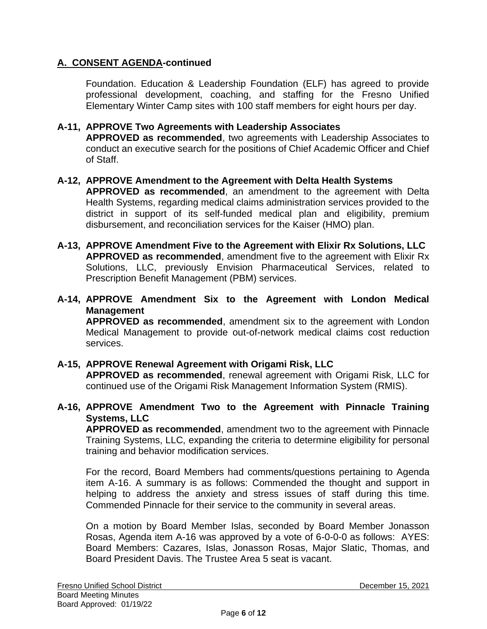Foundation. Education & Leadership Foundation (ELF) has agreed to provide professional development, coaching, and staffing for the Fresno Unified Elementary Winter Camp sites with 100 staff members for eight hours per day.

#### **A-11, APPROVE Two Agreements with Leadership Associates**

**APPROVED as recommended**, two agreements with Leadership Associates to conduct an executive search for the positions of Chief Academic Officer and Chief of Staff.

- **A-12, APPROVE Amendment to the Agreement with Delta Health Systems APPROVED as recommended**, an amendment to the agreement with Delta Health Systems, regarding medical claims administration services provided to the district in support of its self-funded medical plan and eligibility, premium disbursement, and reconciliation services for the Kaiser (HMO) plan.
- **A-13, APPROVE Amendment Five to the Agreement with Elixir Rx Solutions, LLC APPROVED as recommended**, amendment five to the agreement with Elixir Rx Solutions, LLC, previously Envision Pharmaceutical Services, related to Prescription Benefit Management (PBM) services.
- **A-14, APPROVE Amendment Six to the Agreement with London Medical Management**

**APPROVED as recommended**, amendment six to the agreement with London Medical Management to provide out-of-network medical claims cost reduction services.

## **A-15, APPROVE Renewal Agreement with Origami Risk, LLC**

**APPROVED as recommended**, renewal agreement with Origami Risk, LLC for continued use of the Origami Risk Management Information System (RMIS).

## **A-16, APPROVE Amendment Two to the Agreement with Pinnacle Training Systems, LLC**

**APPROVED as recommended**, amendment two to the agreement with Pinnacle Training Systems, LLC, expanding the criteria to determine eligibility for personal training and behavior modification services.

For the record, Board Members had comments/questions pertaining to Agenda item A-16. A summary is as follows: Commended the thought and support in helping to address the anxiety and stress issues of staff during this time. Commended Pinnacle for their service to the community in several areas.

On a motion by Board Member Islas, seconded by Board Member Jonasson Rosas, Agenda item A-16 was approved by a vote of 6-0-0-0 as follows: AYES: Board Members: Cazares, Islas, Jonasson Rosas, Major Slatic, Thomas, and Board President Davis. The Trustee Area 5 seat is vacant.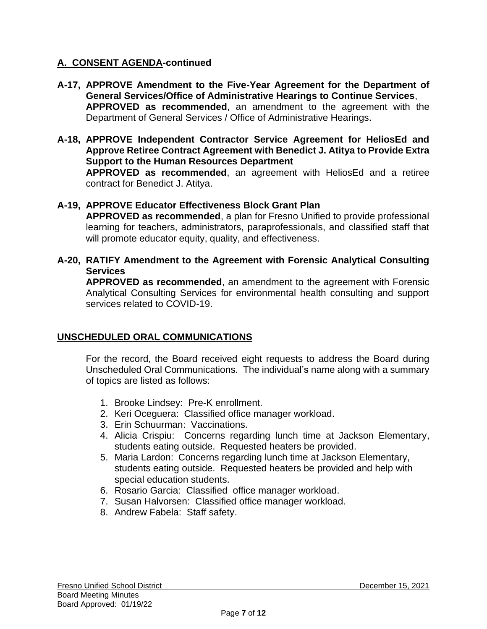- **A-17, APPROVE Amendment to the Five-Year Agreement for the Department of General Services/Office of Administrative Hearings to Continue Services**, **APPROVED as recommended**, an amendment to the agreement with the Department of General Services / Office of Administrative Hearings.
- **A-18, APPROVE Independent Contractor Service Agreement for HeliosEd and Approve Retiree Contract Agreement with Benedict J. Atitya to Provide Extra Support to the Human Resources Department**

**APPROVED as recommended**, an agreement with HeliosEd and a retiree contract for Benedict J. Atitya.

## **A-19, APPROVE Educator Effectiveness Block Grant Plan**

**APPROVED as recommended**, a plan for Fresno Unified to provide professional learning for teachers, administrators, paraprofessionals, and classified staff that will promote educator equity, quality, and effectiveness.

**A-20, RATIFY Amendment to the Agreement with Forensic Analytical Consulting Services**

**APPROVED as recommended**, an amendment to the agreement with Forensic Analytical Consulting Services for environmental health consulting and support services related to COVID-19.

## **UNSCHEDULED ORAL COMMUNICATIONS**

For the record, the Board received eight requests to address the Board during Unscheduled Oral Communications. The individual's name along with a summary of topics are listed as follows:

- 1. Brooke Lindsey: Pre-K enrollment.
- 2. Keri Oceguera: Classified office manager workload.
- 3. Erin Schuurman: Vaccinations.
- 4. Alicia Crispiu: Concerns regarding lunch time at Jackson Elementary, students eating outside. Requested heaters be provided.
- 5. Maria Lardon: Concerns regarding lunch time at Jackson Elementary, students eating outside. Requested heaters be provided and help with special education students.
- 6. Rosario Garcia: Classified office manager workload.
- 7. Susan Halvorsen: Classified office manager workload.
- 8. Andrew Fabela: Staff safety.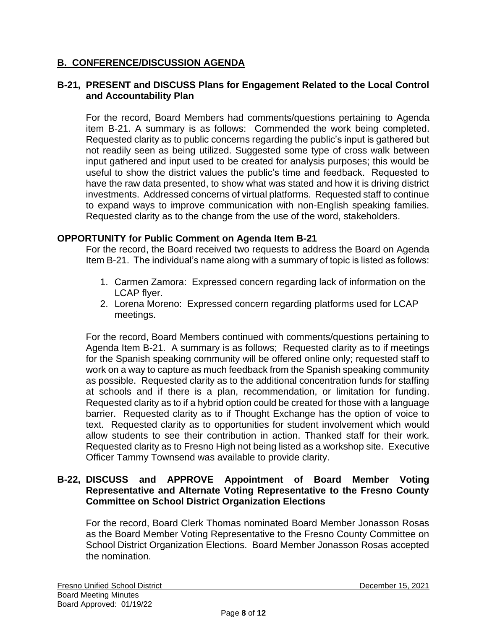## **B. CONFERENCE/DISCUSSION AGENDA**

#### **B-21, PRESENT and DISCUSS Plans for Engagement Related to the Local Control and Accountability Plan**

For the record, Board Members had comments/questions pertaining to Agenda item B-21. A summary is as follows: Commended the work being completed. Requested clarity as to public concerns regarding the public's input is gathered but not readily seen as being utilized. Suggested some type of cross walk between input gathered and input used to be created for analysis purposes; this would be useful to show the district values the public's time and feedback. Requested to have the raw data presented, to show what was stated and how it is driving district investments. Addressed concerns of virtual platforms. Requested staff to continue to expand ways to improve communication with non-English speaking families. Requested clarity as to the change from the use of the word, stakeholders.

#### **OPPORTUNITY for Public Comment on Agenda Item B-21**

For the record, the Board received two requests to address the Board on Agenda Item B-21. The individual's name along with a summary of topic is listed as follows:

- 1. Carmen Zamora: Expressed concern regarding lack of information on the LCAP flyer.
- 2. Lorena Moreno: Expressed concern regarding platforms used for LCAP meetings.

For the record, Board Members continued with comments/questions pertaining to Agenda Item B-21. A summary is as follows; Requested clarity as to if meetings for the Spanish speaking community will be offered online only; requested staff to work on a way to capture as much feedback from the Spanish speaking community as possible. Requested clarity as to the additional concentration funds for staffing at schools and if there is a plan, recommendation, or limitation for funding. Requested clarity as to if a hybrid option could be created for those with a language barrier. Requested clarity as to if Thought Exchange has the option of voice to text. Requested clarity as to opportunities for student involvement which would allow students to see their contribution in action. Thanked staff for their work. Requested clarity as to Fresno High not being listed as a workshop site. Executive Officer Tammy Townsend was available to provide clarity.

#### **B-22, DISCUSS and APPROVE Appointment of Board Member Voting Representative and Alternate Voting Representative to the Fresno County Committee on School District Organization Elections**

For the record, Board Clerk Thomas nominated Board Member Jonasson Rosas as the Board Member Voting Representative to the Fresno County Committee on School District Organization Elections. Board Member Jonasson Rosas accepted the nomination.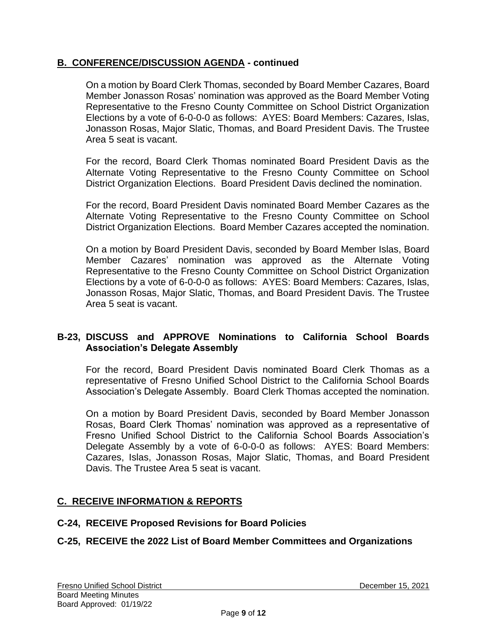## **B. CONFERENCE/DISCUSSION AGENDA - continued**

On a motion by Board Clerk Thomas, seconded by Board Member Cazares, Board Member Jonasson Rosas' nomination was approved as the Board Member Voting Representative to the Fresno County Committee on School District Organization Elections by a vote of 6-0-0-0 as follows: AYES: Board Members: Cazares, Islas, Jonasson Rosas, Major Slatic, Thomas, and Board President Davis. The Trustee Area 5 seat is vacant.

For the record, Board Clerk Thomas nominated Board President Davis as the Alternate Voting Representative to the Fresno County Committee on School District Organization Elections. Board President Davis declined the nomination.

For the record, Board President Davis nominated Board Member Cazares as the Alternate Voting Representative to the Fresno County Committee on School District Organization Elections. Board Member Cazares accepted the nomination.

On a motion by Board President Davis, seconded by Board Member Islas, Board Member Cazares' nomination was approved as the Alternate Voting Representative to the Fresno County Committee on School District Organization Elections by a vote of 6-0-0-0 as follows: AYES: Board Members: Cazares, Islas, Jonasson Rosas, Major Slatic, Thomas, and Board President Davis. The Trustee Area 5 seat is vacant.

## **B-23, DISCUSS and APPROVE Nominations to California School Boards Association's Delegate Assembly**

For the record, Board President Davis nominated Board Clerk Thomas as a representative of Fresno Unified School District to the California School Boards Association's Delegate Assembly. Board Clerk Thomas accepted the nomination.

On a motion by Board President Davis, seconded by Board Member Jonasson Rosas, Board Clerk Thomas' nomination was approved as a representative of Fresno Unified School District to the California School Boards Association's Delegate Assembly by a vote of 6-0-0-0 as follows: AYES: Board Members: Cazares, Islas, Jonasson Rosas, Major Slatic, Thomas, and Board President Davis. The Trustee Area 5 seat is vacant.

# **C. RECEIVE INFORMATION & REPORTS**

## **C-24, RECEIVE Proposed Revisions for Board Policies**

# **C-25, RECEIVE the 2022 List of Board Member Committees and Organizations**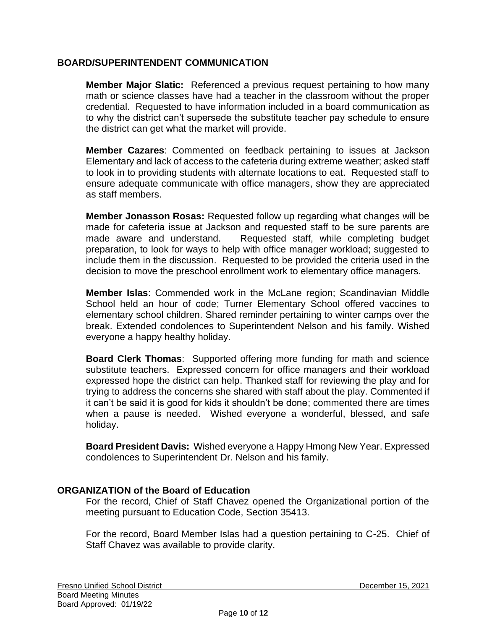#### **BOARD/SUPERINTENDENT COMMUNICATION**

**Member Major Slatic:** Referenced a previous request pertaining to how many math or science classes have had a teacher in the classroom without the proper credential. Requested to have information included in a board communication as to why the district can't supersede the substitute teacher pay schedule to ensure the district can get what the market will provide.

**Member Cazares**: Commented on feedback pertaining to issues at Jackson Elementary and lack of access to the cafeteria during extreme weather; asked staff to look in to providing students with alternate locations to eat. Requested staff to ensure adequate communicate with office managers, show they are appreciated as staff members.

**Member Jonasson Rosas:** Requested follow up regarding what changes will be made for cafeteria issue at Jackson and requested staff to be sure parents are made aware and understand. Requested staff, while completing budget preparation, to look for ways to help with office manager workload; suggested to include them in the discussion. Requested to be provided the criteria used in the decision to move the preschool enrollment work to elementary office managers.

**Member Islas**: Commended work in the McLane region; Scandinavian Middle School held an hour of code; Turner Elementary School offered vaccines to elementary school children. Shared reminder pertaining to winter camps over the break. Extended condolences to Superintendent Nelson and his family. Wished everyone a happy healthy holiday.

**Board Clerk Thomas**: Supported offering more funding for math and science substitute teachers. Expressed concern for office managers and their workload expressed hope the district can help. Thanked staff for reviewing the play and for trying to address the concerns she shared with staff about the play. Commented if it can't be said it is good for kids it shouldn't be done; commented there are times when a pause is needed. Wished everyone a wonderful, blessed, and safe holiday.

**Board President Davis:** Wished everyone a Happy Hmong New Year. Expressed condolences to Superintendent Dr. Nelson and his family.

## **ORGANIZATION of the Board of Education**

For the record, Chief of Staff Chavez opened the Organizational portion of the meeting pursuant to Education Code, Section 35413.

For the record, Board Member Islas had a question pertaining to C-25. Chief of Staff Chavez was available to provide clarity.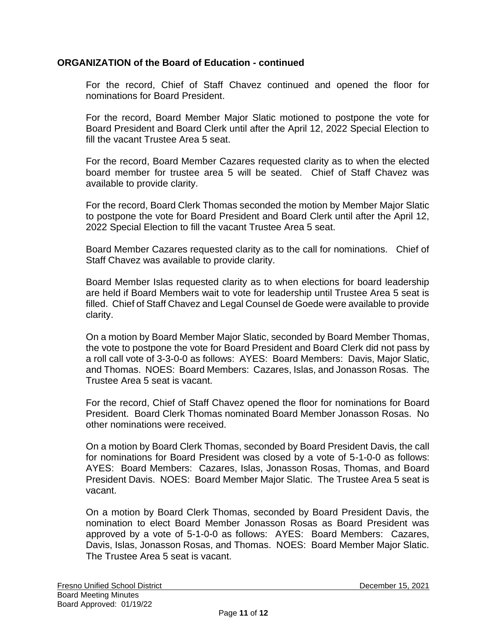#### **ORGANIZATION of the Board of Education - continued**

For the record, Chief of Staff Chavez continued and opened the floor for nominations for Board President.

For the record, Board Member Major Slatic motioned to postpone the vote for Board President and Board Clerk until after the April 12, 2022 Special Election to fill the vacant Trustee Area 5 seat.

For the record, Board Member Cazares requested clarity as to when the elected board member for trustee area 5 will be seated. Chief of Staff Chavez was available to provide clarity.

For the record, Board Clerk Thomas seconded the motion by Member Major Slatic to postpone the vote for Board President and Board Clerk until after the April 12, 2022 Special Election to fill the vacant Trustee Area 5 seat.

Board Member Cazares requested clarity as to the call for nominations. Chief of Staff Chavez was available to provide clarity.

Board Member Islas requested clarity as to when elections for board leadership are held if Board Members wait to vote for leadership until Trustee Area 5 seat is filled. Chief of Staff Chavez and Legal Counsel de Goede were available to provide clarity.

On a motion by Board Member Major Slatic, seconded by Board Member Thomas, the vote to postpone the vote for Board President and Board Clerk did not pass by a roll call vote of 3-3-0-0 as follows: AYES: Board Members: Davis, Major Slatic, and Thomas. NOES: Board Members: Cazares, Islas, and Jonasson Rosas. The Trustee Area 5 seat is vacant.

For the record, Chief of Staff Chavez opened the floor for nominations for Board President. Board Clerk Thomas nominated Board Member Jonasson Rosas. No other nominations were received.

On a motion by Board Clerk Thomas, seconded by Board President Davis, the call for nominations for Board President was closed by a vote of 5-1-0-0 as follows: AYES: Board Members: Cazares, Islas, Jonasson Rosas, Thomas, and Board President Davis. NOES: Board Member Major Slatic. The Trustee Area 5 seat is vacant.

On a motion by Board Clerk Thomas, seconded by Board President Davis, the nomination to elect Board Member Jonasson Rosas as Board President was approved by a vote of 5-1-0-0 as follows: AYES: Board Members: Cazares, Davis, Islas, Jonasson Rosas, and Thomas. NOES: Board Member Major Slatic. The Trustee Area 5 seat is vacant.